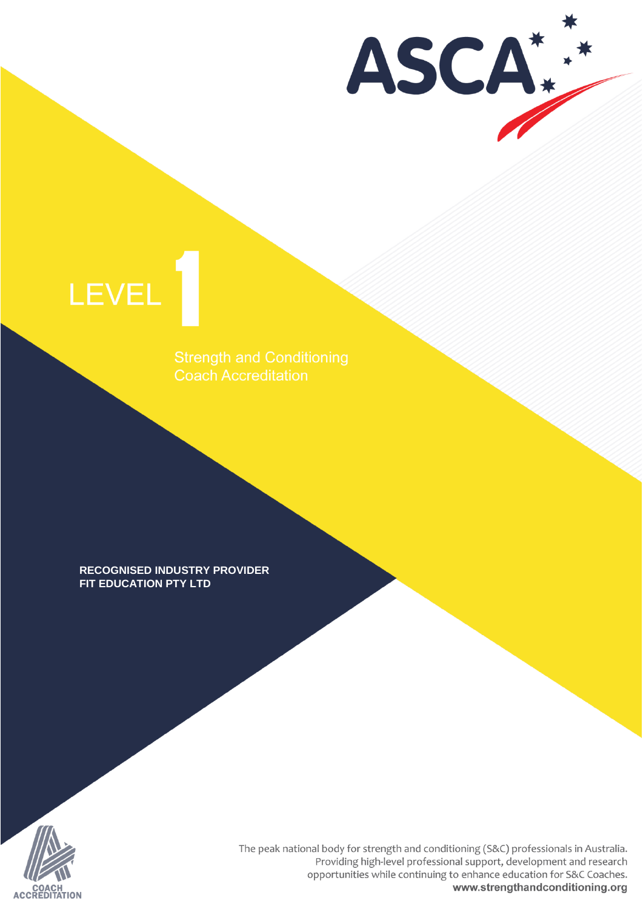ASCA\*

# LEVEL

Coach Accreditation

**RECOGNISED INDUSTRY PROVIDER** FIT EDUCATION PTY LTD



The peak national body for strength and conditioning (S&C) professionals in Australia. Providing high-level professional support, development and research opportunities while continuing to enhance education for S&C Coaches. www.strengthandconditioning.org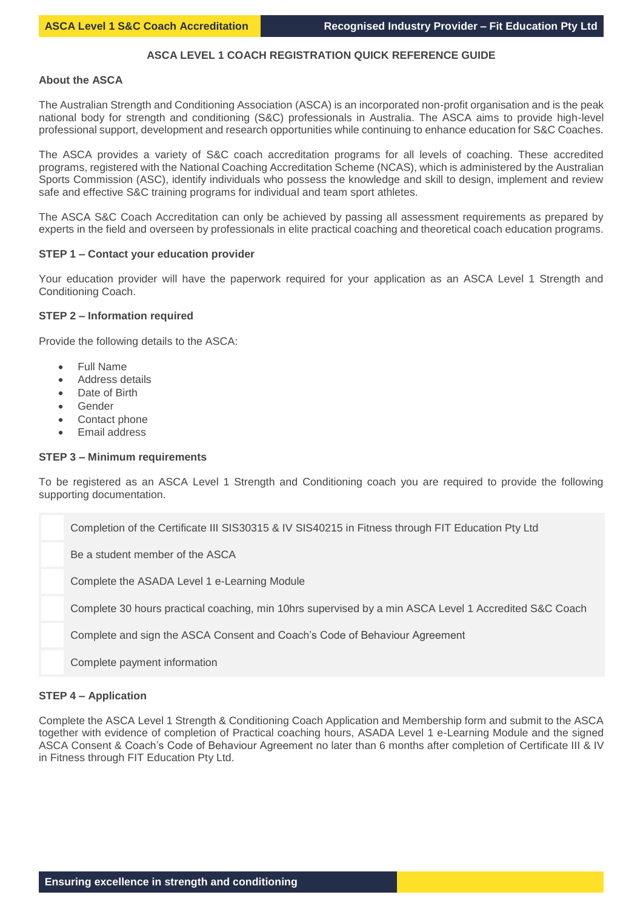# **ASCA LEVEL 1 COACH REGISTRATION QUICK REFERENCE GUIDE**

#### **About the ASCA**

The Australian Strength and Conditioning Association (ASCA) is an incorporated non-profit organisation and is the peak national body for strength and conditioning (S&C) professionals in Australia. The ASCA aims to provide high-level professional support, development and research opportunities while continuing to enhance education for S&C Coaches.

The ASCA provides a variety of S&C coach accreditation programs for all levels of coaching. These accredited programs, registered with the National Coaching Accreditation Scheme (NCAS), which is administered by the Australian Sports Commission (ASC), identify individuals who possess the knowledge and skill to design, implement and review safe and effective S&C training programs for individual and team sport athletes.

The ASCA S&C Coach Accreditation can only be achieved by passing all assessment requirements as prepared by experts in the field and overseen by professionals in elite practical coaching and theoretical coach education programs.

# **STEP 1 – Contact your education provider**

Your education provider will have the paperwork required for your application as an ASCA Level 1 Strength and Conditioning Coach.

#### **STEP 2 – Information required**

Provide the following details to the ASCA:

- Full Name
- Address details
- Date of Birth
- Gender
- Contact phone
- Email address

#### **STEP 3 – Minimum requirements**

To be registered as an ASCA Level 1 Strength and Conditioning coach you are required to provide the following supporting documentation.

| Completion of the Certificate III SIS30315 & IV SIS40215 in Fitness through FIT Education Pty Ltd     |
|-------------------------------------------------------------------------------------------------------|
| Be a student member of the ASCA                                                                       |
| Complete the ASADA Level 1 e-Learning Module                                                          |
| Complete 30 hours practical coaching, min 10hrs supervised by a min ASCA Level 1 Accredited S&C Coach |
| Complete and sign the ASCA Consent and Coach's Code of Behaviour Agreement                            |
| Complete payment information                                                                          |

# **STEP 4 – Application**

Complete the ASCA Level 1 Strength & Conditioning Coach Application and Membership form and submit to the ASCA together with evidence of completion of Practical coaching hours, ASADA Level 1 e-Learning Module and the signed ASCA Consent & Coach's Code of Behaviour Agreement no later than 6 months after completion of Certificate III & IV in Fitness through FIT Education Pty Ltd.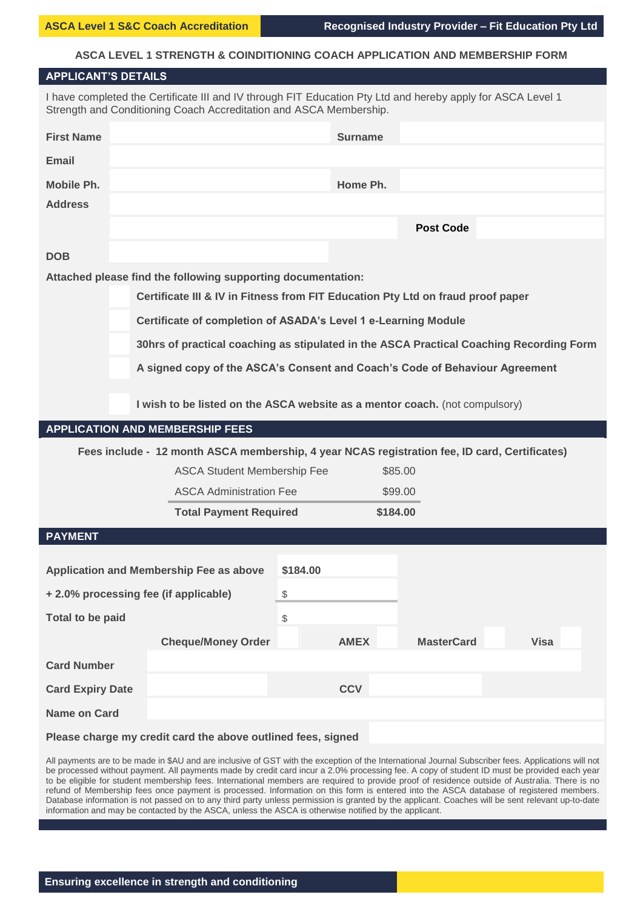# **ASCA LEVEL 1 STRENGTH & COINDITIONING COACH APPLICATION AND MEMBERSHIP FORM**

| <b>APPLICANT'S DETAILS</b>                                                                                                                                                        |                                                                                               |                |                   |             |  |  |
|-----------------------------------------------------------------------------------------------------------------------------------------------------------------------------------|-----------------------------------------------------------------------------------------------|----------------|-------------------|-------------|--|--|
| I have completed the Certificate III and IV through FIT Education Pty Ltd and hereby apply for ASCA Level 1<br>Strength and Conditioning Coach Accreditation and ASCA Membership. |                                                                                               |                |                   |             |  |  |
| <b>First Name</b>                                                                                                                                                                 |                                                                                               | <b>Surname</b> |                   |             |  |  |
| <b>Email</b>                                                                                                                                                                      |                                                                                               |                |                   |             |  |  |
| Mobile Ph.                                                                                                                                                                        |                                                                                               | Home Ph.       |                   |             |  |  |
| <b>Address</b>                                                                                                                                                                    |                                                                                               |                |                   |             |  |  |
|                                                                                                                                                                                   |                                                                                               |                | <b>Post Code</b>  |             |  |  |
| <b>DOB</b>                                                                                                                                                                        |                                                                                               |                |                   |             |  |  |
|                                                                                                                                                                                   | Attached please find the following supporting documentation:                                  |                |                   |             |  |  |
|                                                                                                                                                                                   | Certificate III & IV in Fitness from FIT Education Pty Ltd on fraud proof paper               |                |                   |             |  |  |
|                                                                                                                                                                                   | Certificate of completion of ASADA's Level 1 e-Learning Module                                |                |                   |             |  |  |
|                                                                                                                                                                                   | 30hrs of practical coaching as stipulated in the ASCA Practical Coaching Recording Form       |                |                   |             |  |  |
|                                                                                                                                                                                   | A signed copy of the ASCA's Consent and Coach's Code of Behaviour Agreement                   |                |                   |             |  |  |
|                                                                                                                                                                                   |                                                                                               |                |                   |             |  |  |
|                                                                                                                                                                                   | I wish to be listed on the ASCA website as a mentor coach. (not compulsory)                   |                |                   |             |  |  |
|                                                                                                                                                                                   | <b>APPLICATION AND MEMBERSHIP FEES</b>                                                        |                |                   |             |  |  |
|                                                                                                                                                                                   | Fees include - 12 month ASCA membership, 4 year NCAS registration fee, ID card, Certificates) |                |                   |             |  |  |
|                                                                                                                                                                                   | <b>ASCA Student Membership Fee</b>                                                            |                | \$85.00           |             |  |  |
|                                                                                                                                                                                   | <b>ASCA Administration Fee</b>                                                                |                | \$99.00           |             |  |  |
|                                                                                                                                                                                   | <b>Total Payment Required</b>                                                                 |                | \$184.00          |             |  |  |
| <b>PAYMENT</b>                                                                                                                                                                    |                                                                                               |                |                   |             |  |  |
|                                                                                                                                                                                   |                                                                                               |                |                   |             |  |  |
|                                                                                                                                                                                   |                                                                                               |                |                   |             |  |  |
|                                                                                                                                                                                   | <b>Application and Membership Fee as above</b>                                                | \$184.00       |                   |             |  |  |
| +2.0% processing fee (if applicable)                                                                                                                                              |                                                                                               | \$             |                   |             |  |  |
| <b>Total to be paid</b>                                                                                                                                                           |                                                                                               | \$             |                   |             |  |  |
|                                                                                                                                                                                   | <b>Cheque/Money Order</b>                                                                     | <b>AMEX</b>    | <b>MasterCard</b> | <b>Visa</b> |  |  |
| <b>Card Number</b>                                                                                                                                                                |                                                                                               |                |                   |             |  |  |
| <b>Card Expiry Date</b>                                                                                                                                                           |                                                                                               | <b>CCV</b>     |                   |             |  |  |
| Name on Card                                                                                                                                                                      |                                                                                               |                |                   |             |  |  |
|                                                                                                                                                                                   | Please charge my credit card the above outlined fees, signed                                  |                |                   |             |  |  |

be processed without payment. All payments made by credit card incur a 2.0% processing fee. A copy of student ID must be provided each year to be eligible for student membership fees. International members are required to provide proof of residence outside of Australia. There is no refund of Membership fees once payment is processed. Information on this form is entered into the ASCA database of registered members. Database information is not passed on to any third party unless permission is granted by the applicant. Coaches will be sent relevant up-to-date information and may be contacted by the ASCA, unless the ASCA is otherwise notified by the applicant.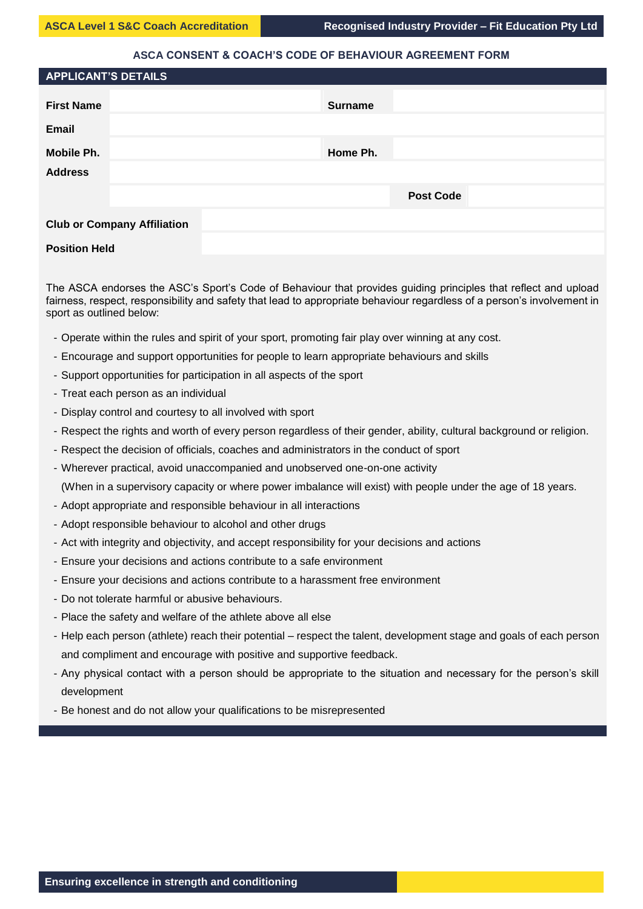# **ASCA CONSENT & COACH'S CODE OF BEHAVIOUR AGREEMENT FORM**

| <b>APPLICANT'S DETAILS</b>         |                  |  |
|------------------------------------|------------------|--|
| <b>First Name</b>                  | <b>Surname</b>   |  |
|                                    |                  |  |
| Email                              |                  |  |
| Mobile Ph.                         | Home Ph.         |  |
| <b>Address</b>                     |                  |  |
|                                    | <b>Post Code</b> |  |
| <b>Club or Company Affiliation</b> |                  |  |
| <b>Position Held</b>               |                  |  |

# The ASCA endorses the ASC's Sport's Code of Behaviour that provides guiding principles that reflect and upload fairness, respect, responsibility and safety that lead to appropriate behaviour regardless of a person's involvement in sport as outlined below:

- Operate within the rules and spirit of your sport, promoting fair play over winning at any cost.
- Encourage and support opportunities for people to learn appropriate behaviours and skills
- Support opportunities for participation in all aspects of the sport
- Treat each person as an individual
- Display control and courtesy to all involved with sport
- Respect the rights and worth of every person regardless of their gender, ability, cultural background or religion.
- Respect the decision of officials, coaches and administrators in the conduct of sport
- Wherever practical, avoid unaccompanied and unobserved one-on-one activity
	- (When in a supervisory capacity or where power imbalance will exist) with people under the age of 18 years.
- Adopt appropriate and responsible behaviour in all interactions
- Adopt responsible behaviour to alcohol and other drugs
- Act with integrity and objectivity, and accept responsibility for your decisions and actions
- Ensure your decisions and actions contribute to a safe environment
- Ensure your decisions and actions contribute to a harassment free environment
- Do not tolerate harmful or abusive behaviours.
- Place the safety and welfare of the athlete above all else
- Help each person (athlete) reach their potential respect the talent, development stage and goals of each person and compliment and encourage with positive and supportive feedback.
- Any physical contact with a person should be appropriate to the situation and necessary for the person's skill development
- Be honest and do not allow your qualifications to be misrepresented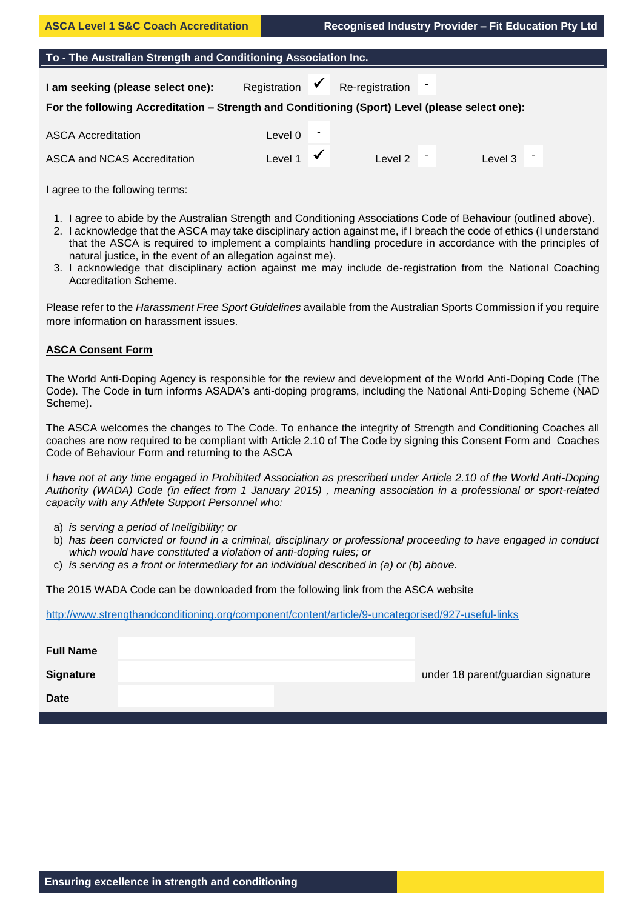# **To - The Australian Strength and Conditioning Association Inc.**

**I am seeking (please select one):** Registration  $\checkmark$  Re-registration

# **For the following Accreditation – Strength and Conditioning (Sport) Level (please select one):**

| <b>ASCA Accreditation</b>   | Level 0 |          |         |  |
|-----------------------------|---------|----------|---------|--|
| ASCA and NCAS Accreditation | Level 1 | ∟evel 2⊦ | Level 3 |  |

I agree to the following terms:

- 1. I agree to abide by the Australian Strength and Conditioning Associations Code of Behaviour (outlined above).
- 2. I acknowledge that the ASCA may take disciplinary action against me, if I breach the code of ethics (I understand that the ASCA is required to implement a complaints handling procedure in accordance with the principles of natural justice, in the event of an allegation against me).
- 3. I acknowledge that disciplinary action against me may include de-registration from the National Coaching Accreditation Scheme.

Please refer to the *Harassment Free Sport Guidelines* available from the Australian Sports Commission if you require more information on harassment issues.

# **ASCA Consent Form**

The World Anti-Doping Agency is responsible for the review and development of the World Anti-Doping Code (The Code). The Code in turn informs ASADA's anti-doping programs, including the National Anti-Doping Scheme (NAD Scheme).

The ASCA welcomes the changes to The Code. To enhance the integrity of Strength and Conditioning Coaches all coaches are now required to be compliant with Article 2.10 of The Code by signing this Consent Form and Coaches Code of Behaviour Form and returning to the ASCA

*I have not at any time engaged in Prohibited Association as prescribed under Article 2.10 of the World Anti-Doping Authority (WADA) Code (in effect from 1 January 2015) , meaning association in a professional or sport-related capacity with any Athlete Support Personnel who:*

- a) *is serving a period of Ineligibility; or*
- b) *has been convicted or found in a criminal, disciplinary or professional proceeding to have engaged in conduct which would have constituted a violation of anti-doping rules; or*
- c) *is serving as a front or intermediary for an individual described in (a) or (b) above.*

The 2015 WADA Code can be downloaded from the following link from the ASCA website

<http://www.strengthandconditioning.org/component/content/article/9-uncategorised/927-useful-links>

| <b>Full Name</b> |  |                                    |
|------------------|--|------------------------------------|
| <b>Signature</b> |  | under 18 parent/guardian signature |
| <b>Date</b>      |  |                                    |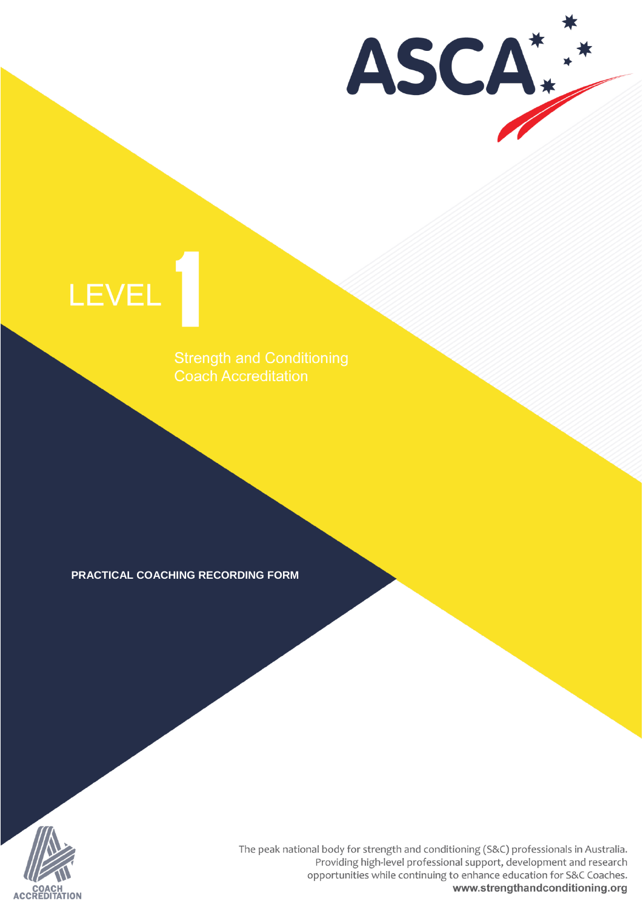ASCA

# LEVEL

**Coach Accreditation** 

**PRACTICAL COACHING RECORDING FORM** 



The peak national body for strength and conditioning (S&C) professionals in Australia. Providing high-level professional support, development and research opportunities while continuing to enhance education for S&C Coaches. www.strengthandconditioning.org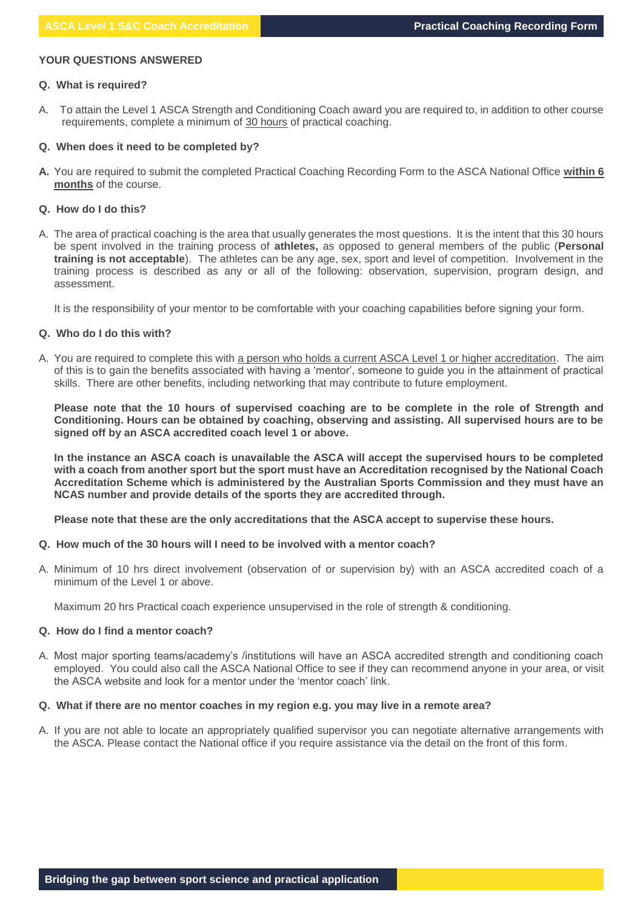# **YOUR QUESTIONS ANSWERED**

# **Q. What is required?**

A. To attain the Level 1 ASCA Strength and Conditioning Coach award you are required to, in addition to other course requirements, complete a minimum of 30 hours of practical coaching.

#### **Q. When does it need to be completed by?**

**A.** You are required to submit the completed Practical Coaching Recording Form to the ASCA National Office **within 6 months** of the course.

#### **Q. How do I do this?**

A. The area of practical coaching is the area that usually generates the most questions. It is the intent that this 30 hours be spent involved in the training process of **athletes,** as opposed to general members of the public (**Personal training is not acceptable**). The athletes can be any age, sex, sport and level of competition. Involvement in the training process is described as any or all of the following: observation, supervision, program design, and assessment.

It is the responsibility of your mentor to be comfortable with your coaching capabilities before signing your form.

# **Q. Who do I do this with?**

A. You are required to complete this with a person who holds a current ASCA Level 1 or higher accreditation. The aim of this is to gain the benefits associated with having a 'mentor', someone to guide you in the attainment of practical skills. There are other benefits, including networking that may contribute to future employment.

**Please note that the 10 hours of supervised coaching are to be complete in the role of Strength and Conditioning. Hours can be obtained by coaching, observing and assisting. All supervised hours are to be signed off by an ASCA accredited coach level 1 or above.** 

**In the instance an ASCA coach is unavailable the ASCA will accept the supervised hours to be completed with a coach from another sport but the sport must have an Accreditation recognised by the National Coach Accreditation Scheme which is administered by the Australian Sports Commission and they must have an NCAS number and provide details of the sports they are accredited through.** 

**Please note that these are the only accreditations that the ASCA accept to supervise these hours.** 

#### **Q. How much of the 30 hours will I need to be involved with a mentor coach?**

A. Minimum of 10 hrs direct involvement (observation of or supervision by) with an ASCA accredited coach of a minimum of the Level 1 or above.

Maximum 20 hrs Practical coach experience unsupervised in the role of strength & conditioning.

# **Q. How do I find a mentor coach?**

A. Most major sporting teams/academy's /institutions will have an ASCA accredited strength and conditioning coach employed. You could also call the ASCA National Office to see if they can recommend anyone in your area, or visit the ASCA website and look for a mentor under the 'mentor coach' link.

# **Q. What if there are no mentor coaches in my region e.g. you may live in a remote area?**

A. If you are not able to locate an appropriately qualified supervisor you can negotiate alternative arrangements with the ASCA. Please contact the National office if you require assistance via the detail on the front of this form.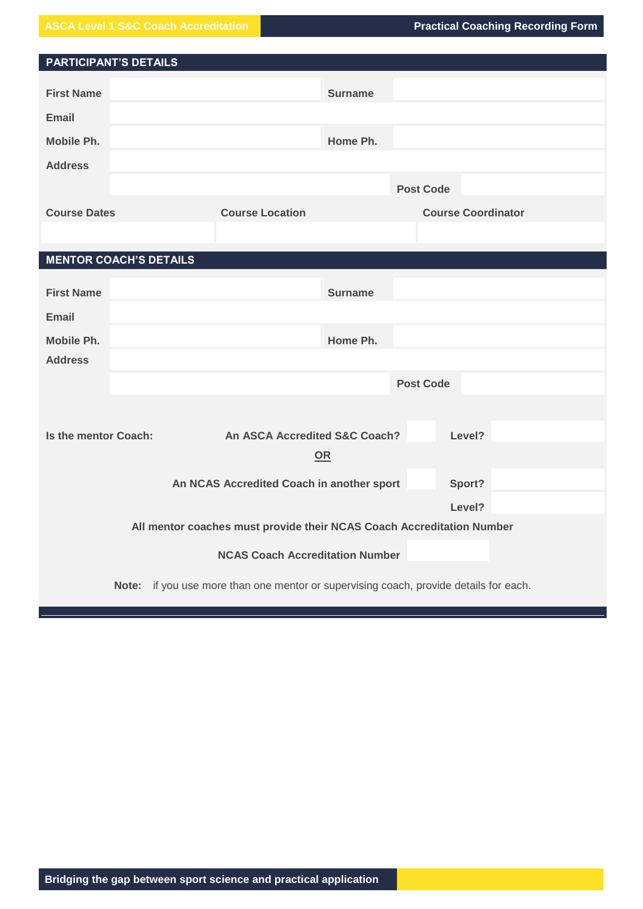**ASCA Level 1 S&C Coach Accreditation Practical Coaching Recording Form** 

| <b>PARTICIPANT'S DETAILS</b>  |       |                                                                                 |                  |                           |  |
|-------------------------------|-------|---------------------------------------------------------------------------------|------------------|---------------------------|--|
| <b>First Name</b>             |       |                                                                                 | <b>Surname</b>   |                           |  |
| <b>Email</b>                  |       |                                                                                 |                  |                           |  |
| Mobile Ph.                    |       |                                                                                 | Home Ph.         |                           |  |
| <b>Address</b>                |       |                                                                                 |                  |                           |  |
|                               |       |                                                                                 |                  | <b>Post Code</b>          |  |
| <b>Course Dates</b>           |       | <b>Course Location</b>                                                          |                  | <b>Course Coordinator</b> |  |
|                               |       |                                                                                 |                  |                           |  |
| <b>MENTOR COACH'S DETAILS</b> |       |                                                                                 |                  |                           |  |
|                               |       |                                                                                 |                  |                           |  |
| <b>First Name</b>             |       |                                                                                 | <b>Surname</b>   |                           |  |
| Email                         |       |                                                                                 |                  |                           |  |
| Mobile Ph.                    |       |                                                                                 | Home Ph.         |                           |  |
| <b>Address</b>                |       |                                                                                 |                  |                           |  |
|                               |       |                                                                                 | <b>Post Code</b> |                           |  |
|                               |       |                                                                                 |                  |                           |  |
| Is the mentor Coach:          |       | An ASCA Accredited S&C Coach?                                                   |                  | Level?                    |  |
|                               |       |                                                                                 | OR               |                           |  |
|                               |       | An NCAS Accredited Coach in another sport                                       |                  | Sport?                    |  |
|                               |       |                                                                                 |                  | Level?                    |  |
|                               |       | All mentor coaches must provide their NCAS Coach Accreditation Number           |                  |                           |  |
|                               |       |                                                                                 |                  |                           |  |
|                               |       | <b>NCAS Coach Accreditation Number</b>                                          |                  |                           |  |
|                               | Note: | if you use more than one mentor or supervising coach, provide details for each. |                  |                           |  |